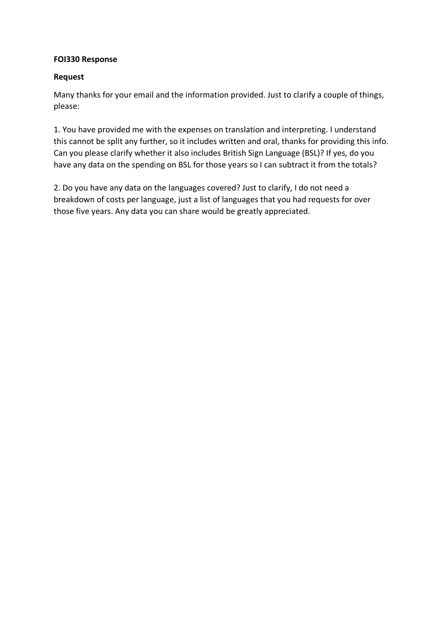## **FOI330 Response**

## **Request**

Many thanks for your email and the information provided. Just to clarify a couple of things, please:

1. You have provided me with the expenses on translation and interpreting. I understand this cannot be split any further, so it includes written and oral, thanks for providing this info. Can you please clarify whether it also includes British Sign Language (BSL)? If yes, do you have any data on the spending on BSL for those years so I can subtract it from the totals?

2. Do you have any data on the languages covered? Just to clarify, I do not need a breakdown of costs per language, just a list of languages that you had requests for over those five years. Any data you can share would be greatly appreciated.